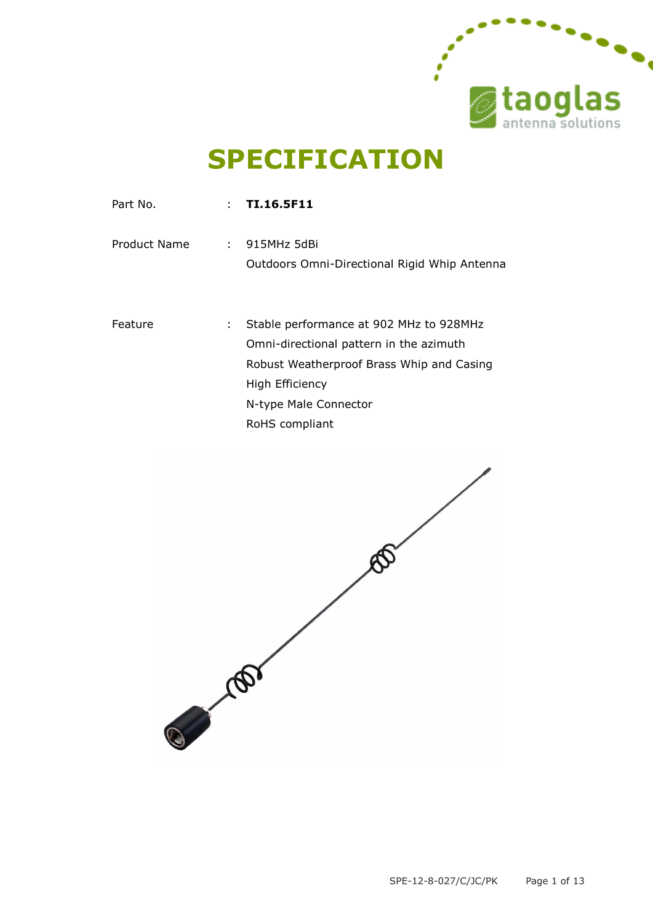

# **SPECIFICATION**

| Part No.     |    | $\therefore$ TI.16.5F11                                       |
|--------------|----|---------------------------------------------------------------|
| Product Name |    | : 915MHz 5dBi<br>Outdoors Omni-Directional Rigid Whip Antenna |
|              |    |                                                               |
| Feature      | ÷. | Stable performance at 902 MHz to 928MHz                       |
|              |    | Omni-directional pattern in the azimuth                       |
|              |    | Robust Weatherproof Brass Whip and Casing                     |
|              |    | High Efficiency                                               |
|              |    | N-type Male Connector                                         |
|              |    | RoHS compliant                                                |
|              |    |                                                               |

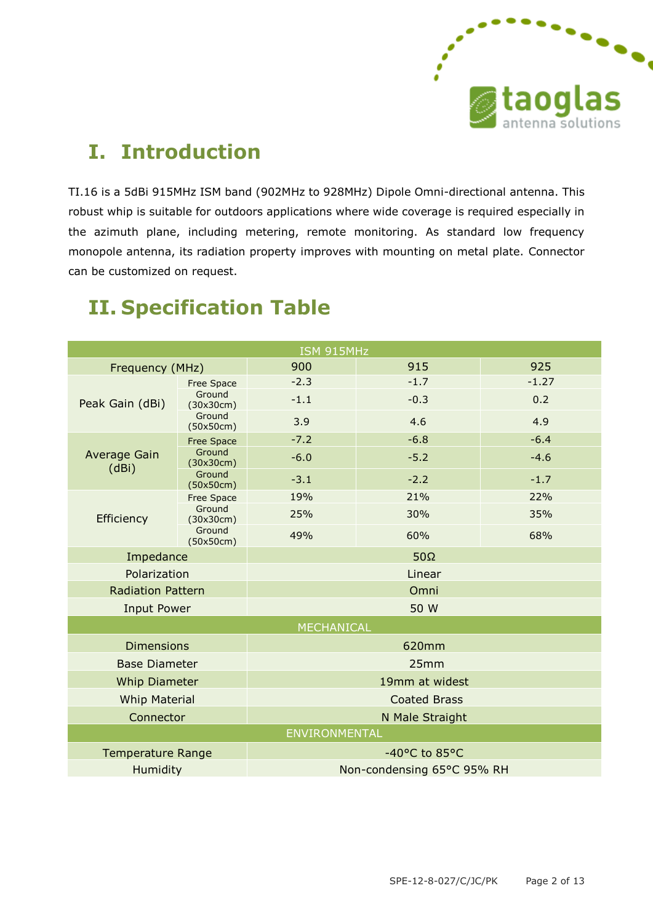

# **I. Introduction**

TI.16 is a 5dBi 915MHz ISM band (902MHz to 928MHz) Dipole Omni-directional antenna. This robust whip is suitable for outdoors applications where wide coverage is required especially in the azimuth plane, including metering, remote monitoring. As standard low frequency monopole antenna, its radiation property improves with mounting on metal plate. Connector can be customized on request.

| ISM 915MHz                   |                     |                            |        |         |  |  |  |
|------------------------------|---------------------|----------------------------|--------|---------|--|--|--|
| Frequency (MHz)              |                     | 900                        | 915    | 925     |  |  |  |
| Peak Gain (dBi)              | <b>Free Space</b>   | $-2.3$                     | $-1.7$ | $-1.27$ |  |  |  |
|                              | Ground<br>(30x30cm) | $-1.1$                     | $-0.3$ | 0.2     |  |  |  |
|                              | Ground<br>(50x50cm) | 3.9                        | 4.6    | 4.9     |  |  |  |
| <b>Average Gain</b><br>(dBi) | <b>Free Space</b>   | $-7.2$                     | $-6.8$ | $-6.4$  |  |  |  |
|                              | Ground<br>(30x30cm) | $-6.0$                     | $-5.2$ | $-4.6$  |  |  |  |
|                              | Ground<br>(50x50cm) | $-3.1$                     | $-2.2$ | $-1.7$  |  |  |  |
| Efficiency                   | <b>Free Space</b>   | 19%                        | 21%    | 22%     |  |  |  |
|                              | Ground<br>(30x30cm) | 25%                        | 30%    | 35%     |  |  |  |
|                              | Ground<br>(50x50cm) | 49%                        | 60%    | 68%     |  |  |  |
| Impedance                    |                     | $50\Omega$                 |        |         |  |  |  |
| Polarization                 |                     | Linear                     |        |         |  |  |  |
| <b>Radiation Pattern</b>     |                     | Omni                       |        |         |  |  |  |
| <b>Input Power</b>           |                     | 50 W                       |        |         |  |  |  |
| <b>MECHANICAL</b>            |                     |                            |        |         |  |  |  |
| <b>Dimensions</b>            |                     | 620mm                      |        |         |  |  |  |
| <b>Base Diameter</b>         |                     | 25mm                       |        |         |  |  |  |
| <b>Whip Diameter</b>         |                     | 19mm at widest             |        |         |  |  |  |
| <b>Whip Material</b>         |                     | <b>Coated Brass</b>        |        |         |  |  |  |
| Connector                    |                     | N Male Straight            |        |         |  |  |  |
| ENVIRONMENTAL                |                     |                            |        |         |  |  |  |
| <b>Temperature Range</b>     |                     | -40°C to 85°C              |        |         |  |  |  |
| Humidity                     |                     | Non-condensing 65°C 95% RH |        |         |  |  |  |

# **II. Specification Table**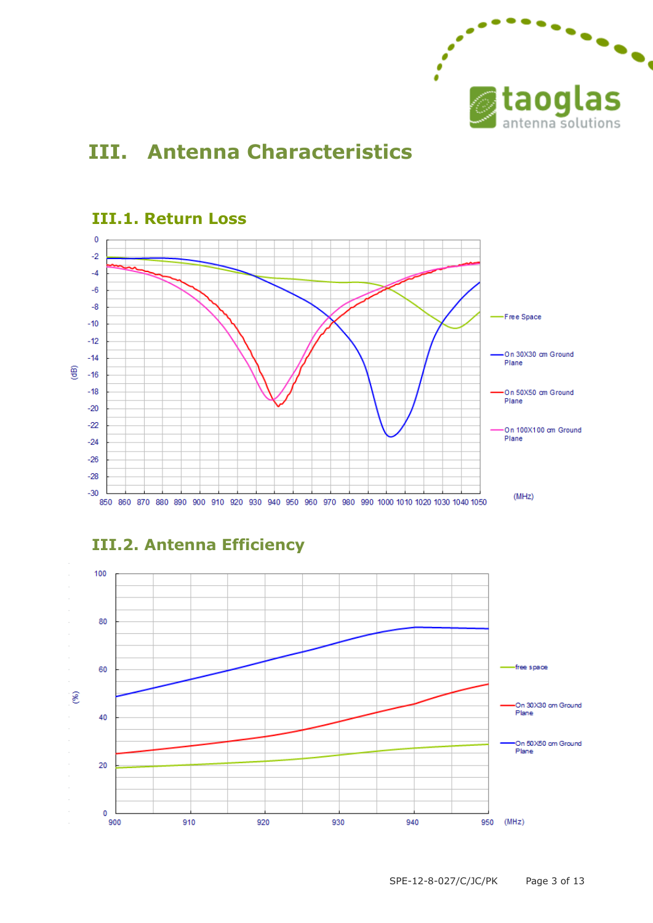

# **III. Antenna Characteristics**



#### **III.1. Return Loss**



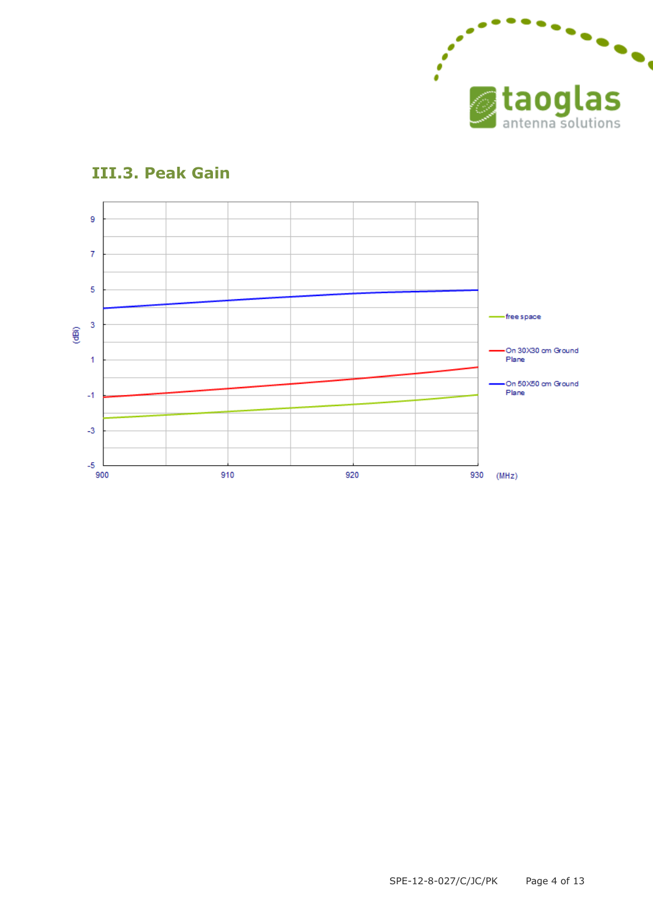



#### **III.3. Peak Gain**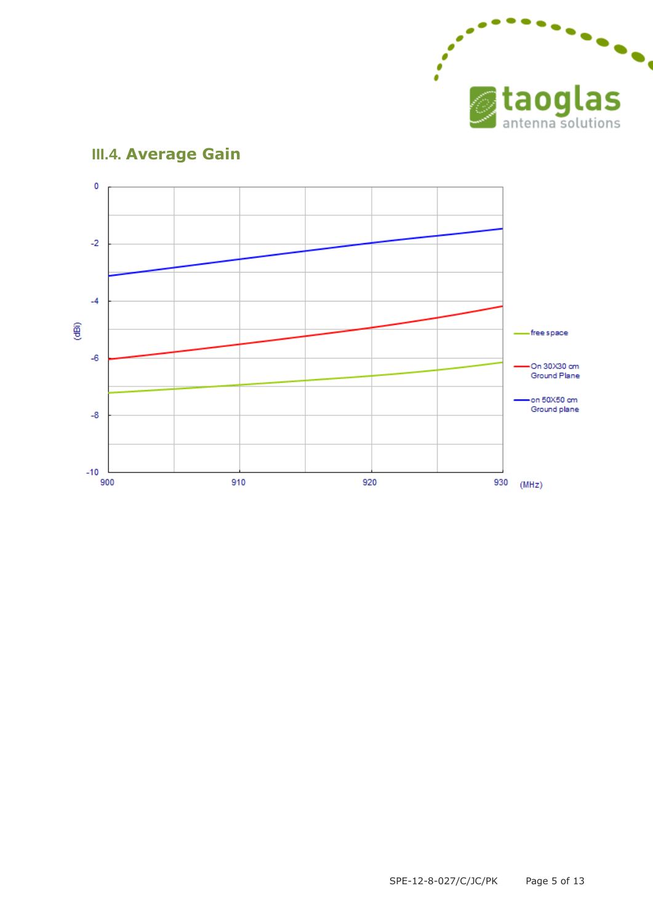

#### $\pmb{0}$  $-2$  $-4$ @ -free space  $-6$ On 30X30 cm Ground Plane on 50X50 cm Ground plane  $-8$  $-10$ 930 (MHz) 900 910 920

### **III.4. Average Gain**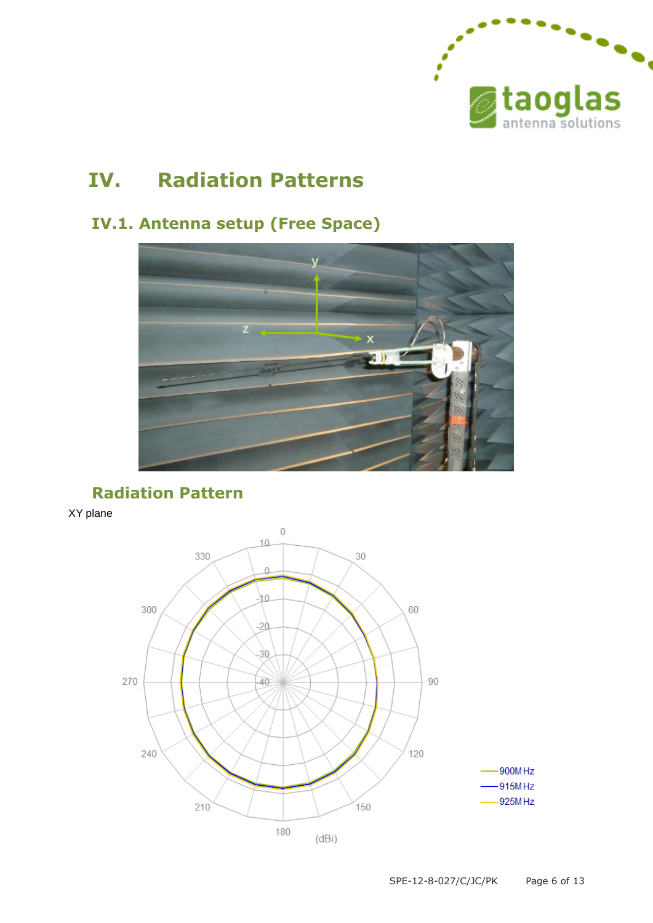

# **IV. Radiation Patterns**

### **IV.1. Antenna setup (Free Space)**



**Radiation Pattern**

XY plane

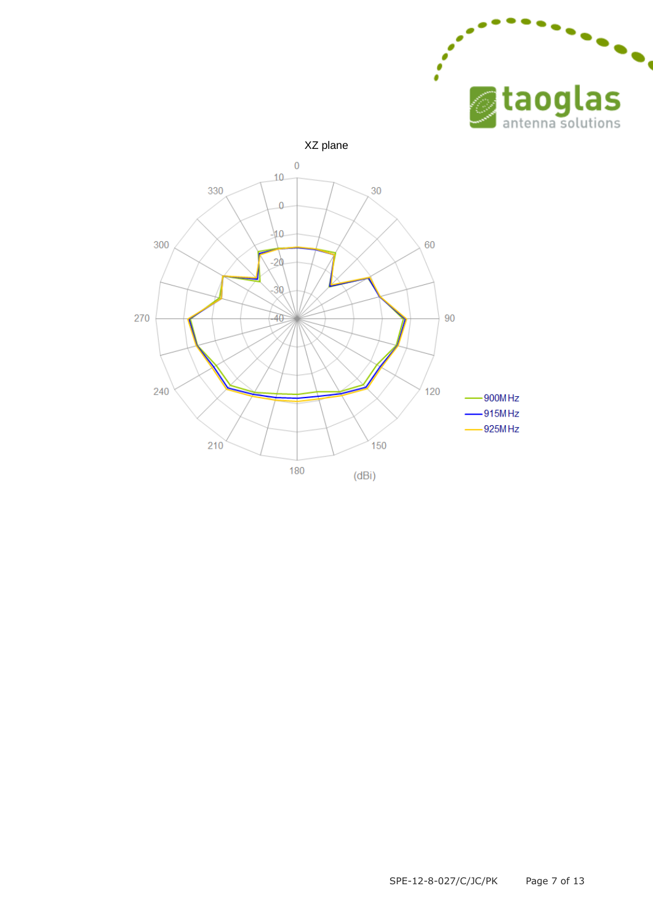



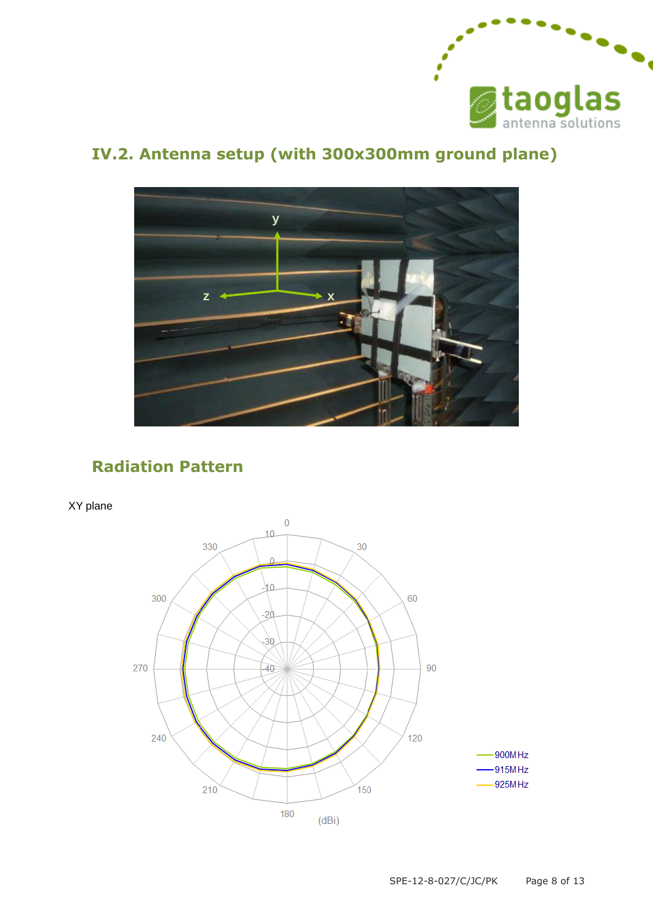

### **IV.2. Antenna setup (with 300x300mm ground plane)**



#### **Radiation Pattern**

XY plane

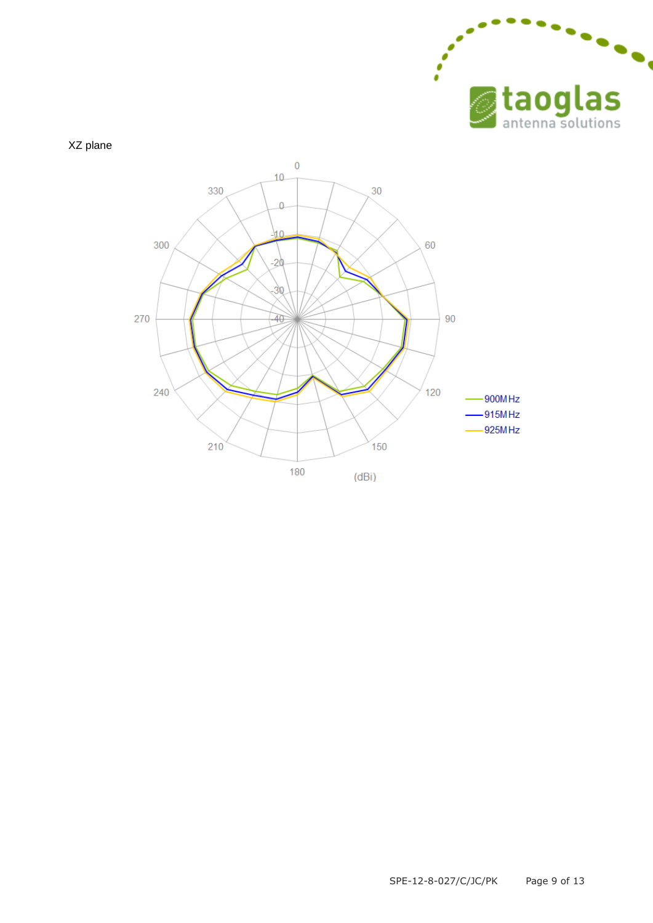

XZ plane

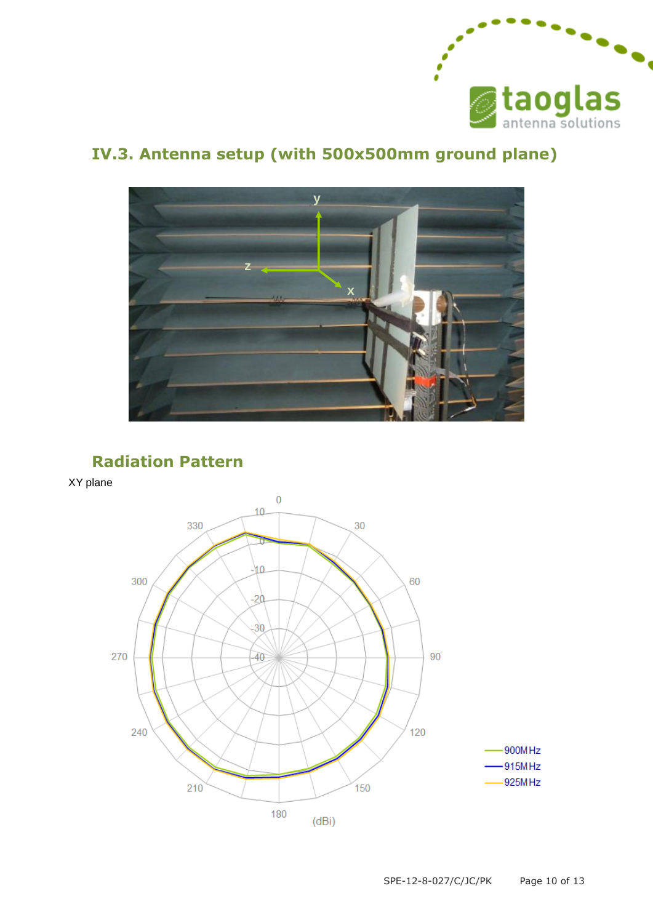

### **IV.3. Antenna setup (with 500x500mm ground plane)**



#### **Radiation Pattern**

XY plane

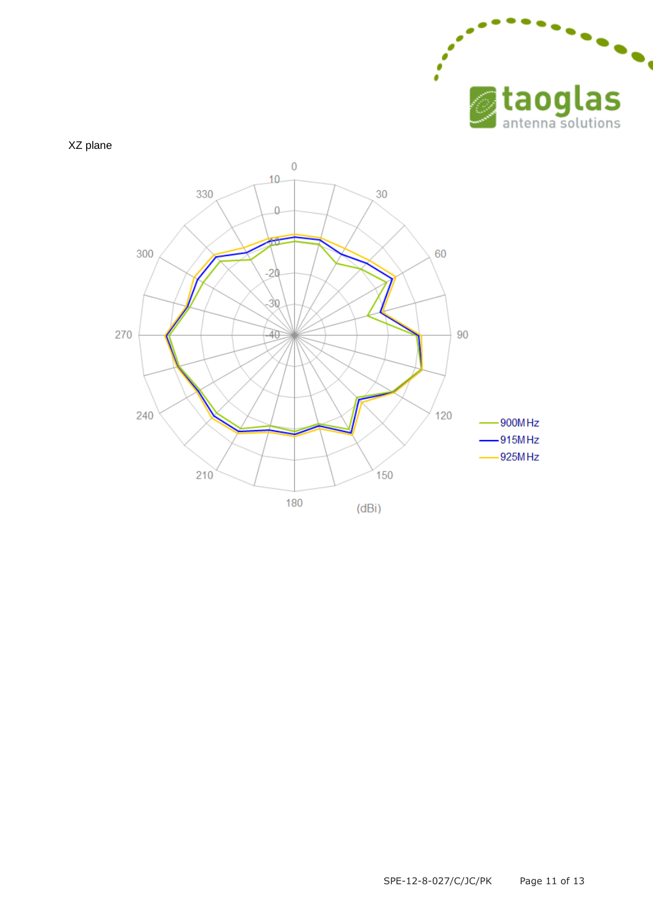

XZ plane

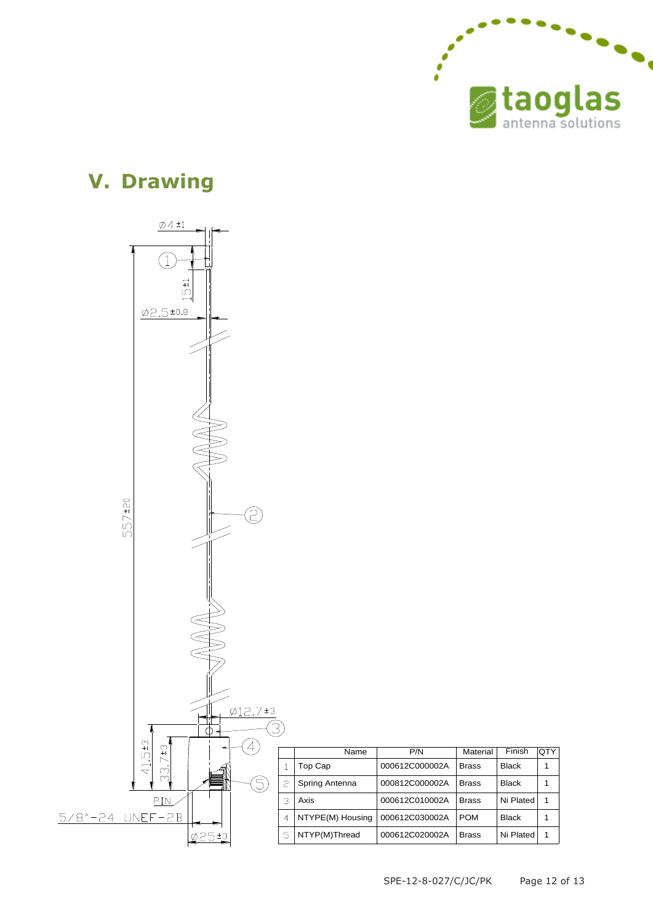

### **V. Drawing**



Brass Brass Brass 1

Ni Plated